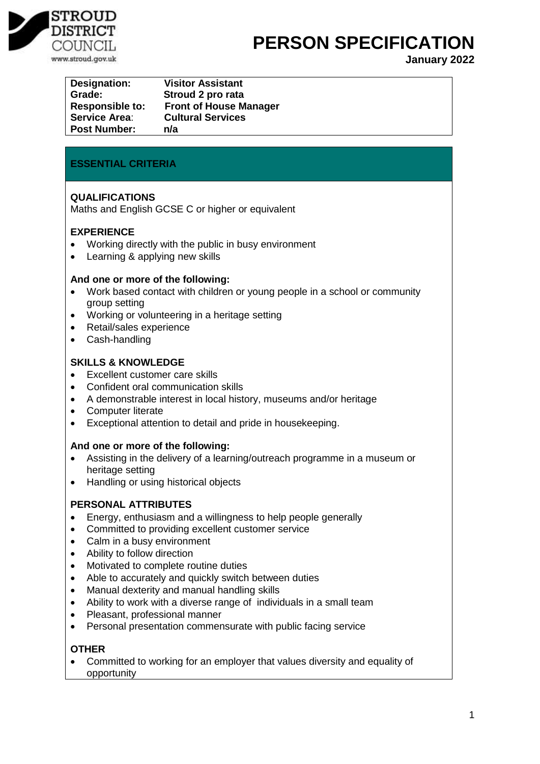

## **PERSON SPECIFICATION**

**January 2022**

| <b>Designation:</b>    | <b>Visitor Assistant</b>      |
|------------------------|-------------------------------|
| Grade:                 | Stroud 2 pro rata             |
| <b>Responsible to:</b> | <b>Front of House Manager</b> |
| <b>Service Area:</b>   | <b>Cultural Services</b>      |
| <b>Post Number:</b>    | n/a                           |

## **ESSENTIAL CRITERIA**

## **QUALIFICATIONS**

Maths and English GCSE C or higher or equivalent

## **EXPERIENCE**

- Working directly with the public in busy environment
- Learning & applying new skills

#### **And one or more of the following:**

- Work based contact with children or young people in a school or community group setting
- Working or volunteering in a heritage setting
- Retail/sales experience
- Cash-handling

## **SKILLS & KNOWLEDGE**

- Excellent customer care skills
- Confident oral communication skills
- A demonstrable interest in local history, museums and/or heritage
- Computer literate
- Exceptional attention to detail and pride in housekeeping.

#### **And one or more of the following:**

- Assisting in the delivery of a learning/outreach programme in a museum or heritage setting
- Handling or using historical objects

## **PERSONAL ATTRIBUTES**

- Energy, enthusiasm and a willingness to help people generally
- Committed to providing excellent customer service
- Calm in a busy environment
- Ability to follow direction
- Motivated to complete routine duties
- Able to accurately and quickly switch between duties
- Manual dexterity and manual handling skills
- Ability to work with a diverse range of individuals in a small team
- Pleasant, professional manner
- Personal presentation commensurate with public facing service

#### **OTHER**

 Committed to working for an employer that values diversity and equality of opportunity